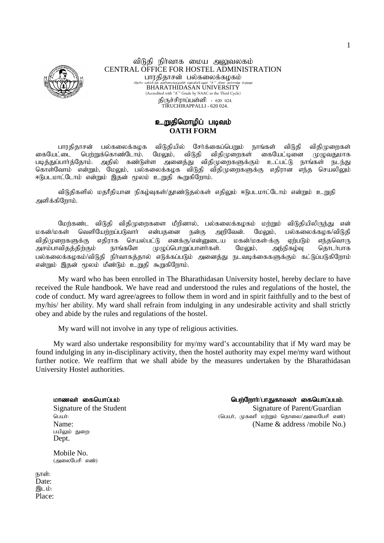

#### விடுகி நிர்வாக மைய அலுவலகம் CENTRAL OFFICE FOR HOSTEL ADMINISTRATION பாரதிதாசன் பல்கலைக்கழகம் ים<br>נו נול<del>דו ד</del>ילו BHARATHIDASAN UNIVERSITY (Accredited with "A<sup>+</sup>" Grade by NAAC in the Third Cycle) திருச்சிராப்பள்ளி - 620 024 TIRUCHIRAPPALLI - 620 024.

## உறுதிமொழிப் படிவம் **OATH FORM**

பாாகிகாசன் பல்கலைக்கமக விடுகியில் சேர்க்கைப்பெறும் நாங்கள் விடுகி விகிமுறைகள் கையேட்டை பெற்றுக்கொண்டோம். மேலும், விடுதி விகிமுறைகள் கையேட்டினை முமுவதுமாக அனைத்து விதிமுறைகளுக்கும் படித்துப்பார்த்தோம். அதில் கண்டுள்ள உட்பட்டு நாங்கள் நடந்து கொள்வோம் என்றும், மேலும், பல்கலைக்கழக விடுதி விதிமுறைகளுக்கு எதிரான எந்த செயலிலும் ஈடுபடமாட்டோம் என்றும் இதன் மூலம் உறுதி கூறுகிறோம்.

விடுதிகளில் மதரீதியான நிகழ்வுகள்/தூண்டுதல்கள் எதிலும் ஈடுபடமாட்டோம் என்றும் உறுதி அளிக்கிறோம்.

மேர்கண்ட விடுதி விதிமுரைகளை மீரினால், பல்கலைக்கழகம் மர்றும் விடுதியிலிருந்து என் மகன்/மகள் வெளியேர்ஸப்படுவார் என்பகனை நன்கு அரிவேன். மேலும். பல்கலைக்கமக/விடுகி விகிமுறைகளுக்கு எகிராக செயல்பட்டு எனக்கு/என்னுடைய மகன்/மகள்-க்கு ஏர்படும் எந்தவொரு நாங்களே முழுப்பொறுப்பாளர்கள். அசம்பாவிதத்திற்கும் மேலும், அந்நிகழ்வு தொடர்பாக பல்கலைக்கழகம்/விடுதி நிர்வாகத்தால் எடுக்கப்படும் அனைத்து நடவடிக்கைகளுக்கும் கட்டுப்படுகிறோம் என்றும் இதன் மூலம் மீண்டும் உறுதி கூறுகிறோம்.

My ward who has been enrolled in The Bharathidasan University hostel, hereby declare to have received the Rule handbook. We have read and understood the rules and regulations of the hostel, the code of conduct. My ward agree/agrees to follow them in word and in spirit faithfully and to the best of my/his/ her ability. My ward shall refrain from indulging in any undesirable activity and shall strictly obey and abide by the rules and regulations of the hostel.

My ward will not involve in any type of religious activities.

My ward also undertake responsibility for my/my ward's accountability that if My ward may be found indulging in any in-disciplinary activity, then the hostel authority may expel me/my ward without further notice. We reaffirm that we shall abide by the measures undertaken by the Bharathidasan University Hostel authorities.

மாணவர் கைபெரப்பம் Signature of the Student பெயர்: Name: பயிலும் துறை: Dept.

Mobile No. (அலைபேசி எண்)

நாள்: Date: இடம்: Place:

#### பெர்ளோா்/பாகுகாவலா் கையொப்பபம். Signature of Parent/Guardian (பெயர், முகவரி மற்றும் தொலை/அலைபேசி எண்) (Name & address /mobile No.)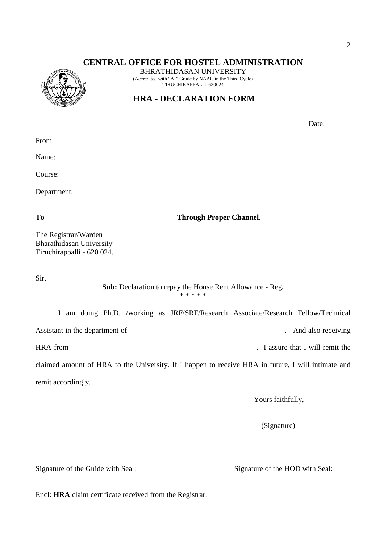## **CENTRAL OFFICE FOR HOSTEL ADMINISTRATION**



BHRATHIDASAN UNIVERSITY (Accredited with "A<sup>+</sup>" Grade by NAAC in the Third Cycle) TIRUCHIRAPPALLI-620024

# **HRA - DECLARATION FORM**

Date:

From

Name:

Course:

Department:

To Through Proper Channel.

The Registrar/Warden Bharathidasan University Tiruchirappalli - 620 024.

Sir,

**Sub:** Declaration to repay the House Rent Allowance - Reg**.** \* \* \* \* \*

I am doing Ph.D. /working as JRF/SRF/Research Associate/Research Fellow/Technical Assistant in the department of --------------------------------------------------------------. And also receiving HRA from ------------------------------------------------------------------------- . I assure that I will remit the claimed amount of HRA to the University. If I happen to receive HRA in future, I will intimate and remit accordingly.

Yours faithfully,

(Signature)

Signature of the Guide with Seal: Signature of the HOD with Seal:

Encl: **HRA** claim certificate received from the Registrar.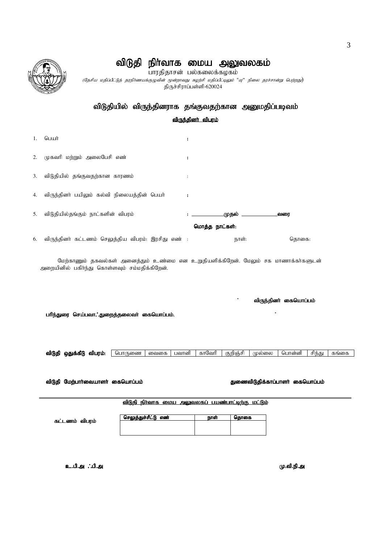# விடுதி நிா்வாக மைய அலுவலகம்

.<br>பாரதிதாசன் பல்கலைக்கழகம்

(தேசிய மதிப்பீட்டுத் தரநிர்ணயக்குழுவின் மூன்றாவது சுழற்சி மதிப்பீட்டிலும் "பு" நிலை தரச்சான்று பெற்றது**)** திருச்சிராப்பள்ளி-620024

## விடுதியில் விருந்தினராக தங்குவதற்கான அனுமதிப்படிவம்

விருந்தினர் விபரம்

| 1. | பெயர்                                              | $\ddot{\cdot}$       |                   |                |                   |       |
|----|----------------------------------------------------|----------------------|-------------------|----------------|-------------------|-------|
|    | 2. முகவரி மற்றும் அலைபேசி எண்                      | ÷                    |                   |                |                   |       |
| 3. | விடுதியில் தங்குவதற்கான காரணம்                     | $\ddot{\phantom{a}}$ |                   |                |                   |       |
|    | 4. விருந்தினர் பயிலும் கல்வி நிலையத்தின் பெயர்     | $\ddot{\phantom{a}}$ |                   |                |                   |       |
|    | 5. விடுதியில்தங்கும் நாட்களின் விபரம்              |                      | <b>Experience</b> |                | முதல் ___________ | வரை   |
|    |                                                    |                      |                   | மொத்த நாட்கள்: |                   |       |
| 6. | விருந்தினர் கட்டணம் செலுத்திய விபரம்: இரசிது எண் : |                      |                   | நாள்:          |                   | கொகை: |

மேற்காணும் தகவல்கள் அனைத்தும் உண்மை என உறுதியளிக்கிறேன். மேலும் சக மாணாக்கா்களுடன் அறையினில் பகிர்ந்து கொள்ளவும் சம்மதிக்கிறேன்.

விருந்தினா் கையொப்பம்

பரிந்துரை செய்பவா.'.துறைத்தலைவர் கையொப்பம்.



i<br>L

விடுதி மேற்பாா்வையாளா் கையொப்பம் பான்கள் பான் பான் பான் துணைவிடுதிக்காப்பாளா் கையொப்பம்

விடுதி நிர்வாக மைய அலுவலகப் பயண்பாட்டிற்கு மட்டும்

| செலுத்துச்சீட்டு எண் | நாள் | கொகை |
|----------------------|------|------|
|                      |      |      |
|                      |      |      |

c.gp.m /gp.m c.gp.m K.tp.ep.m K.tp.ep.mK.tp.ep.m

கட்டணம் விபரம்



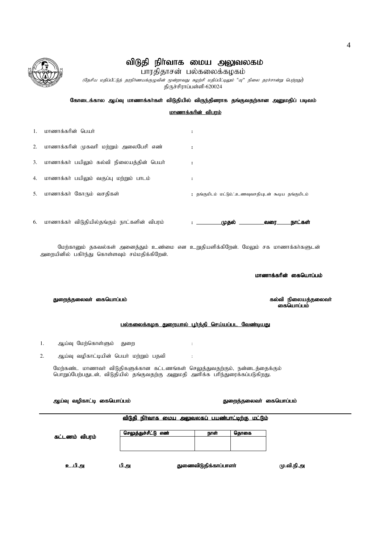|    |                                                                                                                                                                | விடுதி நிா்வாக மைய அலுவலகம்<br>பாரதிதாசன் பல்கலைக்கழகம்<br>(தேசிய மதிப்பீட்டுத் தரநிர்ணயக்குழுவின் மூன்றாவது சுழற்சி மதிப்பீட்டிலும் "யு" நிலை தரச்சான்று பெற்றது)<br>திருச்சிராப்பள்ளி-620024 |                           |      |                                                      |  |  |
|----|----------------------------------------------------------------------------------------------------------------------------------------------------------------|------------------------------------------------------------------------------------------------------------------------------------------------------------------------------------------------|---------------------------|------|------------------------------------------------------|--|--|
|    |                                                                                                                                                                | கோடைக்கால ஆய்வு மாணாக்கா்கள் விடுதியில் விருந்தினராக தங்குவதற்கான அனுமதிப் படிவம்                                                                                                              |                           |      |                                                      |  |  |
|    |                                                                                                                                                                |                                                                                                                                                                                                | <u>மாணாக்கரின் விபரம்</u> |      |                                                      |  |  |
| 1. | மாணாக்கரின் பெயர்                                                                                                                                              | ÷                                                                                                                                                                                              |                           |      |                                                      |  |  |
| 2. | மாணாக்கரின் முகவரி மற்றும் அலைபேசி எண்                                                                                                                         | $\ddot{\phantom{a}}$                                                                                                                                                                           |                           |      |                                                      |  |  |
| 3. | மாணாக்கா் பயிலும் கல்வி நிலையத்தின் பெயா்                                                                                                                      | ÷                                                                                                                                                                                              |                           |      |                                                      |  |  |
| 4. | மாணாக்கா் பயிலும் வகுப்பு மற்றும் பாடம்                                                                                                                        | :                                                                                                                                                                                              |                           |      |                                                      |  |  |
| 5. | மாணாக்கர் கோரும் வசதிகள்                                                                                                                                       |                                                                                                                                                                                                |                           |      | : தங்குமிடம் மட்டும். உணவுவசதியுடன் கூடிய தங்குமிடம் |  |  |
| 6. | மாணாக்கர் விடுதியில்தங்கும் நாட்களின் விபரம்                                                                                                                   |                                                                                                                                                                                                |                           |      | நாட்கள்                                              |  |  |
|    | மேற்கானும் தகவல்கள் அனைத்தும் உண்மை என உறுதியளிக்கிறேன். மேலும் சக மாணாக்கா்களுடன்<br>அறையினில் பகிர்ந்து கொள்ளவும் சம்மதிக்கிறேன்.                            |                                                                                                                                                                                                |                           |      |                                                      |  |  |
|    |                                                                                                                                                                |                                                                                                                                                                                                |                           |      | மாணாக்கரின் கையொப்பம்                                |  |  |
|    | துறைத்தலைவர் கையொப்பம்                                                                                                                                         |                                                                                                                                                                                                |                           |      | கல்வி நிலையத்தலைவர்<br>கையொப்பம்                     |  |  |
|    |                                                                                                                                                                | பல்கலைக்கழக துறையால் பூர்த்தி செய்யப்பட வேண்டியது                                                                                                                                              |                           |      |                                                      |  |  |
|    | ஆய்வு மேற்கொள்ளும்<br>ı.                                                                                                                                       | துறை                                                                                                                                                                                           |                           |      |                                                      |  |  |
|    | 2.<br>ஆய்வு வழிகாட்டியின் பெயர் மற்றும் பதவி                                                                                                                   | $\ddot{\cdot}$                                                                                                                                                                                 |                           |      |                                                      |  |  |
|    | மேற்கண்ட மாணாவா் விடுதிகளுக்கான கட்டணங்கள் செலுத்துவதற்கும், நன்னடத்தைக்கும்<br>பொறுப்பேற்பதுடன், விடுதியில் தங்குவதற்கு அனுமதி அளிக்க பரிந்துரைக்கப்படுகிறது. |                                                                                                                                                                                                |                           |      |                                                      |  |  |
|    | ஆய்வு வழிகாட்டி கையொப்பம்<br>துறைத்தலைவா் கையொப்பம்                                                                                                            |                                                                                                                                                                                                |                           |      |                                                      |  |  |
|    |                                                                                                                                                                | விடுதி நிர்வாக மைய அலுவலகப் பயண்பாட்டிற்கு மட்டும்                                                                                                                                             |                           |      |                                                      |  |  |
|    | கட்டணம் விபரம்                                                                                                                                                 | செலுத்துச்சீட்டு எண்                                                                                                                                                                           | நாள்                      | தொகை |                                                      |  |  |
|    |                                                                                                                                                                |                                                                                                                                                                                                |                           |      |                                                      |  |  |

உ.பி.அ பி.அ துணைவிடுதிக்காப்பாளர்

மு.வி.நி.அ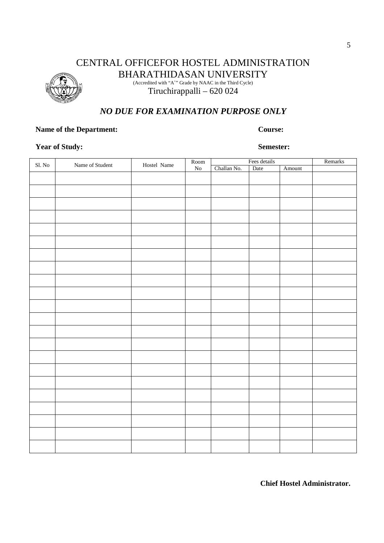# CENTRAL OFFICEFOR HOSTEL ADMINISTRATION BHARATHIDASAN UNIVERSITY

(Accredited with "A<sup>+</sup>" Grade by NAAC in the Third Cycle) Tiruchirappalli – 620 024

# *NO DUE FOR EXAMINATION PURPOSE ONLY*

## **Name of the Department:** Course:

## **Year of Study: Semester:**

|                                |                 |             | $\operatorname{Room}$ | Fees details |      |        | Remarks |
|--------------------------------|-----------------|-------------|-----------------------|--------------|------|--------|---------|
| $\mathop{\rm Sl}\nolimits.$ No | Name of Student | Hostel Name | ${\rm No}$            | Challan No.  | Date | Amount |         |
|                                |                 |             |                       |              |      |        |         |
|                                |                 |             |                       |              |      |        |         |
|                                |                 |             |                       |              |      |        |         |
|                                |                 |             |                       |              |      |        |         |
|                                |                 |             |                       |              |      |        |         |
|                                |                 |             |                       |              |      |        |         |
|                                |                 |             |                       |              |      |        |         |
|                                |                 |             |                       |              |      |        |         |
|                                |                 |             |                       |              |      |        |         |
|                                |                 |             |                       |              |      |        |         |
|                                |                 |             |                       |              |      |        |         |
|                                |                 |             |                       |              |      |        |         |
|                                |                 |             |                       |              |      |        |         |
|                                |                 |             |                       |              |      |        |         |
|                                |                 |             |                       |              |      |        |         |
|                                |                 |             |                       |              |      |        |         |
|                                |                 |             |                       |              |      |        |         |
|                                |                 |             |                       |              |      |        |         |
|                                |                 |             |                       |              |      |        |         |
|                                |                 |             |                       |              |      |        |         |
|                                |                 |             |                       |              |      |        |         |
|                                |                 |             |                       |              |      |        |         |
|                                |                 |             |                       |              |      |        |         |

**Chief Hostel Administrator.**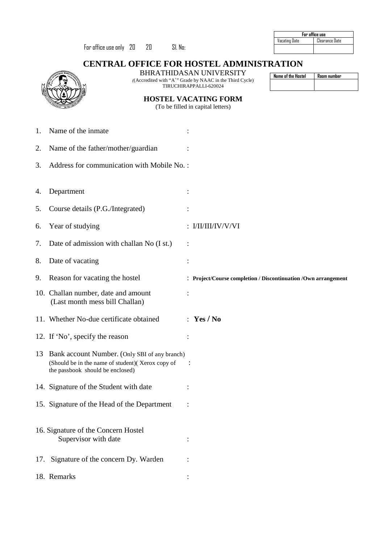|                                                 |                                                                                                                                           |                                                                                                         | For office use       |                |  |  |
|-------------------------------------------------|-------------------------------------------------------------------------------------------------------------------------------------------|---------------------------------------------------------------------------------------------------------|----------------------|----------------|--|--|
|                                                 | For office use only 20<br>20<br>SI. No:                                                                                                   |                                                                                                         | <b>Vacating Date</b> | Clearance Date |  |  |
| <b>CENTRAL OFFICE FOR HOSTEL ADMINISTRATION</b> |                                                                                                                                           |                                                                                                         |                      |                |  |  |
|                                                 |                                                                                                                                           | <b>BHRATHIDASAN UNIVERSITY</b><br>((Accredited with "A <sup>+</sup> " Grade by NAAC in the Third Cycle) | Name of the Hostel   | Room number    |  |  |
|                                                 |                                                                                                                                           | TIRUCHIRAPPALLI-620024                                                                                  |                      |                |  |  |
|                                                 |                                                                                                                                           | <b>HOSTEL VACATING FORM</b><br>(To be filled in capital letters)                                        |                      |                |  |  |
|                                                 |                                                                                                                                           |                                                                                                         |                      |                |  |  |
| 1.                                              | Name of the inmate                                                                                                                        |                                                                                                         |                      |                |  |  |
| 2.                                              | Name of the father/mother/guardian                                                                                                        |                                                                                                         |                      |                |  |  |
| 3.                                              | Address for communication with Mobile No.:                                                                                                |                                                                                                         |                      |                |  |  |
|                                                 |                                                                                                                                           |                                                                                                         |                      |                |  |  |
| 4.                                              | Department                                                                                                                                |                                                                                                         |                      |                |  |  |
| 5.                                              | Course details (P.G./Integrated)                                                                                                          |                                                                                                         |                      |                |  |  |
| 6.                                              | Year of studying                                                                                                                          | : $I/II/III/IV/VV/VI$                                                                                   |                      |                |  |  |
| 7.                                              | Date of admission with challan No (I st.)                                                                                                 |                                                                                                         |                      |                |  |  |
| 8.                                              | Date of vacating                                                                                                                          |                                                                                                         |                      |                |  |  |
| 9.                                              | Reason for vacating the hostel                                                                                                            | : Project/Course completion / Discontinuation /Own arrangement                                          |                      |                |  |  |
|                                                 | 10. Challan number, date and amount<br>(Last month mess bill Challan)                                                                     |                                                                                                         |                      |                |  |  |
|                                                 | 11. Whether No-due certificate obtained                                                                                                   | : Yes/No                                                                                                |                      |                |  |  |
|                                                 | 12. If 'No', specify the reason                                                                                                           |                                                                                                         |                      |                |  |  |
|                                                 | 13 Bank account Number. (Only SBI of any branch)<br>(Should be in the name of student) (Xerox copy of<br>the passbook should be enclosed) |                                                                                                         |                      |                |  |  |
|                                                 | 14. Signature of the Student with date                                                                                                    |                                                                                                         |                      |                |  |  |
|                                                 | 15. Signature of the Head of the Department                                                                                               |                                                                                                         |                      |                |  |  |
|                                                 | 16. Signature of the Concern Hostel<br>Supervisor with date                                                                               |                                                                                                         |                      |                |  |  |
|                                                 | 17. Signature of the concern Dy. Warden                                                                                                   |                                                                                                         |                      |                |  |  |
|                                                 | 18. Remarks                                                                                                                               |                                                                                                         |                      |                |  |  |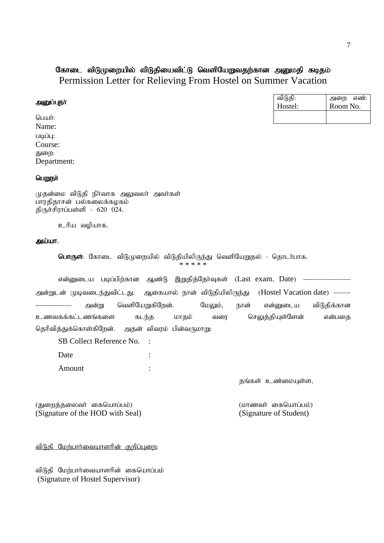## கோடை விடுமுறையில் விடுதியைவிட்டு வெளியேறுவதற்கான அனுமதி கடிதம் Permission Letter for Relieving From Hostel on Summer Vacation

| அனுப்புநா | விடுதி:<br>Hostel: | எண்:<br>அறை<br>Room No. |
|-----------|--------------------|-------------------------|
| பெயர்:    |                    |                         |
| Name:     |                    |                         |

Department:

### பெறுநா்

படிப்பு: Course: துறை:

முதன்மை விடுதி நிர்வாக அலுவலர் அவர்கள் பாரதிதாசன் பல்கலைக்கழகம் திருச்சிராப்பள்ளி - 620 024.

உரிய வழியாக.

#### அய்யா.

**பொருள்**: கோடை விடுமுறையில் விடுதியிலிருந்து வெளியேறுதல் - தொடர்பாக. \* \* \* \* \*

என்னுடைய படிப்பிற்கான ஆண்டு இறுதித்தேர்வுகள் (Last exam. Date) ------------------------அன்றுடன் முடிவடைந்துவிட்டது. ஆகையால் நான் விடுதியிலிருந்து (Hostel Vacation date) ---------அன்று வெளியேறுகிறேன். மேலும், நான் என்னுடைய விடுதிக்கான உணவகக்கட்டணங்களை கடந்த மாதம் வரை செலுத்தியுள்ளேன் என்பதை தெரிவித்துக்கொள்கிறேன். அதன் விவரம் பின்வருமாறு:

SB Collect Reference No. :

Date : Amount :

தங்கள் உண்மையுள்ள,

(துறைத்தலைவர் கையொப்பம்) (மாணவர் கையொப்பம்) (Signature of the HOD with Seal) (Signature of Student)

<u>விடுதி மேற்பார்வையாளரின் குறிப்புறை:</u>

விடுதி மேற்பார்வையாளரின் கையொப்பம் (Signature of Hostel Supervisor)